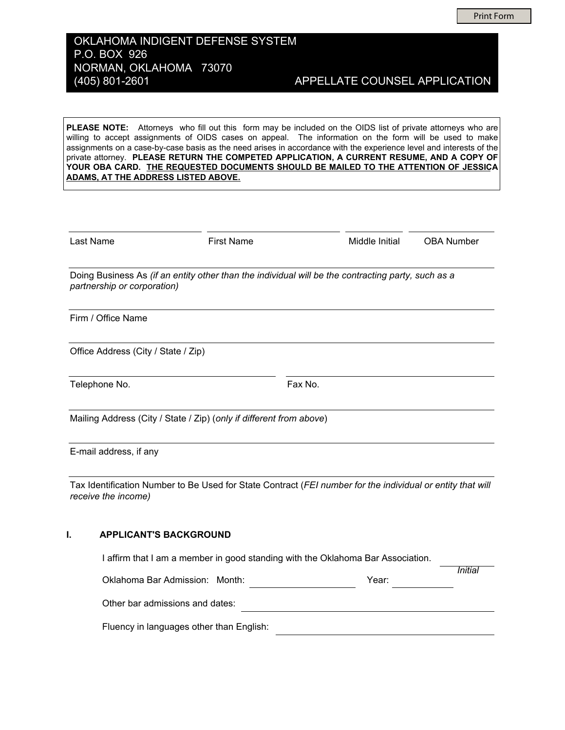**Print Form** 

## OKLAHOMA INDIGENT DEFENSE SYSTEM P.O. BOX 926 NORMAN, OKLAHOMA 73070 (405) 801-2601

APPELLATE COUNSEL APPLICATION

PLEASE NOTE: Attorneys who fill out this form may be included on the OIDS list of private attorneys who are willing to accept assignments of OIDS cases on appeal. The information on the form will be used to make assignments on a case-by-case basis as the need arises in accordance with the experience level and interests of the private attorney. PLEASE RETURN THE COMPETED APPLICATION, A CURRENT RESUME, AND A COPY OF YOUR OBA CARD. THE REQUESTED DOCUMENTS SHOULD BE MAILED TO THE ATTENTION OF JESSICA **ADAMS, AT THE ADDRESS LISTED ABOVE.** 

| Last Name                           | <b>First Name</b>                                                                                          |         | Middle Initial | <b>OBA Number</b> |
|-------------------------------------|------------------------------------------------------------------------------------------------------------|---------|----------------|-------------------|
| partnership or corporation)         | Doing Business As (if an entity other than the individual will be the contracting party, such as a         |         |                |                   |
| Firm / Office Name                  |                                                                                                            |         |                |                   |
| Office Address (City / State / Zip) |                                                                                                            |         |                |                   |
| Telephone No.                       |                                                                                                            | Fax No. |                |                   |
|                                     | Mailing Address (City / State / Zip) (only if different from above)                                        |         |                |                   |
| E-mail address, if any              |                                                                                                            |         |                |                   |
| receive the income)                 | Tax Identification Number to Be Used for State Contract (FEI number for the individual or entity that will |         |                |                   |

#### $\mathbf{L}$ **APPLICANT'S BACKGROUND**

| I affirm that I am a member in good standing with the Oklahoma Bar Association. |       |         |
|---------------------------------------------------------------------------------|-------|---------|
| Oklahoma Bar Admission: Month:                                                  | Year: | Initial |
| Other bar admissions and dates:                                                 |       |         |
| Fluency in languages other than English:                                        |       |         |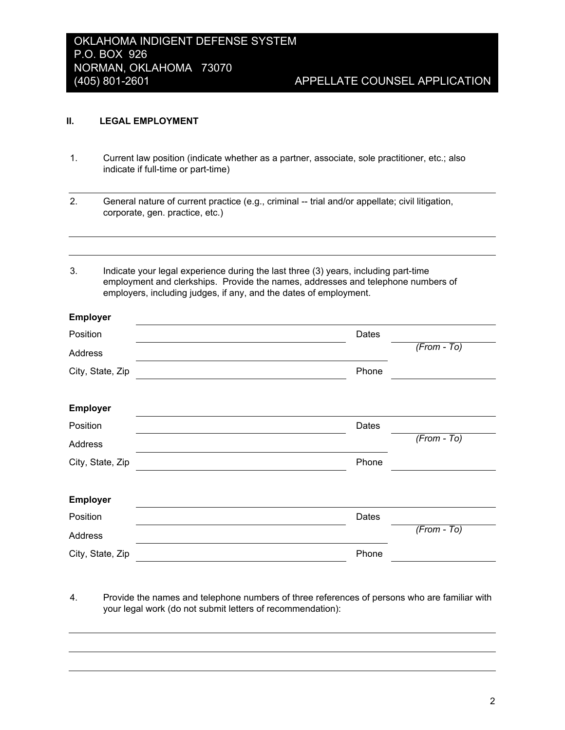#### П. **LEGAL EMPLOYMENT**

 $\overline{\phantom{a}}$  $\sim$ 

 $1.$ Current law position (indicate whether as a partner, associate, sole practitioner, etc.; also indicate if full-time or part-time)

 $2.$ General nature of current practice (e.g., criminal -- trial and/or appellate; civil litigation, corporate, gen. practice, etc.)

 $3<sub>1</sub>$ Indicate your legal experience during the last three (3) years, including part-time employment and clerkships. Provide the names, addresses and telephone numbers of employers, including judges, if any, and the dates of employment.

| <b>Employer</b>  |       |               |  |
|------------------|-------|---------------|--|
| Position         | Dates |               |  |
| Address          |       | $(From - To)$ |  |
| City, State, Zip | Phone |               |  |
|                  |       |               |  |
| <b>Employer</b>  |       |               |  |
| Position         | Dates |               |  |
| Address          |       | $(From - To)$ |  |
| City, State, Zip | Phone |               |  |
|                  |       |               |  |
| Employer         |       |               |  |
| Position         | Dates |               |  |
| Address          |       | $(From - To)$ |  |
| City, State, Zip | Phone |               |  |
|                  |       |               |  |

4. Provide the names and telephone numbers of three references of persons who are familiar with your legal work (do not submit letters of recommendation):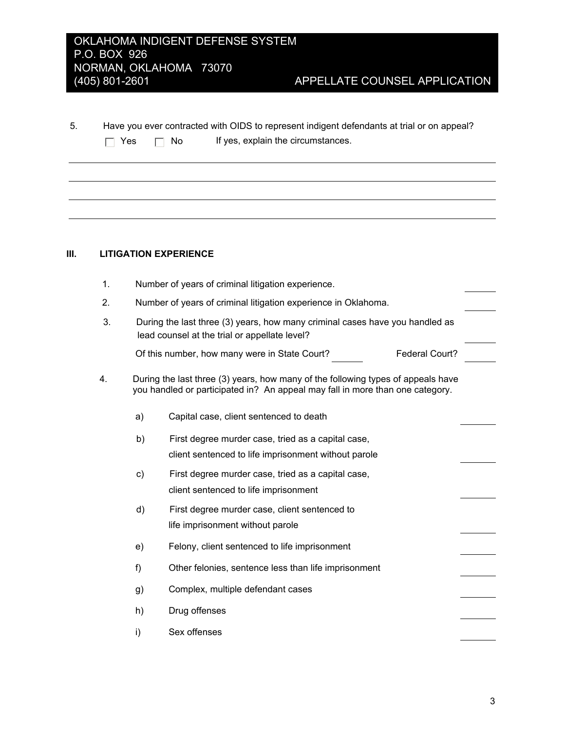# OKLAHOMA INDIGENT DEFENSE SYSTEM P.O. BOX 926 NORMAN, OKLAHOMA 73070  $(405)$  801-2601

 $5.$ Have you ever contracted with OIDS to represent indigent defendants at trial or on appeal? If yes, explain the circumstances.  $\Box$  Yes  $\Box$  No

#### $III.$ **LITIGATION EXPERIENCE**

| 1. |               | Number of years of criminal litigation experience.                                                                                                                |  |
|----|---------------|-------------------------------------------------------------------------------------------------------------------------------------------------------------------|--|
| 2. |               | Number of years of criminal litigation experience in Oklahoma.                                                                                                    |  |
| 3. |               | During the last three (3) years, how many criminal cases have you handled as<br>lead counsel at the trial or appellate level?                                     |  |
|    |               | Federal Court?<br>Of this number, how many were in State Court?                                                                                                   |  |
| 4. |               | During the last three (3) years, how many of the following types of appeals have<br>you handled or participated in? An appeal may fall in more than one category. |  |
|    | a)            | Capital case, client sentenced to death                                                                                                                           |  |
|    | b)            | First degree murder case, tried as a capital case,                                                                                                                |  |
|    |               | client sentenced to life imprisonment without parole                                                                                                              |  |
|    | $\mathsf{c})$ | First degree murder case, tried as a capital case,                                                                                                                |  |
|    |               | client sentenced to life imprisonment                                                                                                                             |  |
|    | d)            | First degree murder case, client sentenced to                                                                                                                     |  |
|    |               | life imprisonment without parole                                                                                                                                  |  |
|    | e)            | Felony, client sentenced to life imprisonment                                                                                                                     |  |
|    | $f$ )         | Other felonies, sentence less than life imprisonment                                                                                                              |  |
|    | g)            | Complex, multiple defendant cases                                                                                                                                 |  |
|    | h)            | Drug offenses                                                                                                                                                     |  |
|    | i)            | Sex offenses                                                                                                                                                      |  |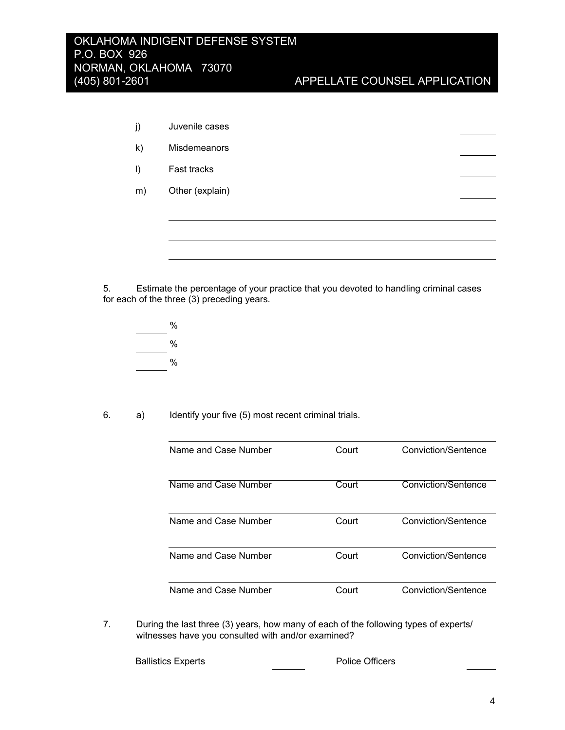| j)           | Juvenile cases      |  |  |
|--------------|---------------------|--|--|
| $\mathsf{k}$ | <b>Misdemeanors</b> |  |  |
| $\vert$      | Fast tracks         |  |  |
| m)           | Other (explain)     |  |  |
|              |                     |  |  |
|              |                     |  |  |

5. Estimate the percentage of your practice that you devoted to handling criminal cases for each of the three (3) preceding years.

 $\%$  $\%$  $\frac{0}{0}$ 

6.  $a)$ Identify your five (5) most recent criminal trials.

| Name and Case Number | Court | Conviction/Sentence |
|----------------------|-------|---------------------|
| Name and Case Number | Court | Conviction/Sentence |
| Name and Case Number | Court | Conviction/Sentence |
| Name and Case Number | Court | Conviction/Sentence |
| Name and Case Number | Court | Conviction/Sentence |

7. During the last three (3) years, how many of each of the following types of experts/ witnesses have you consulted with and/or examined?

**Ballistics Experts** 

Police Officers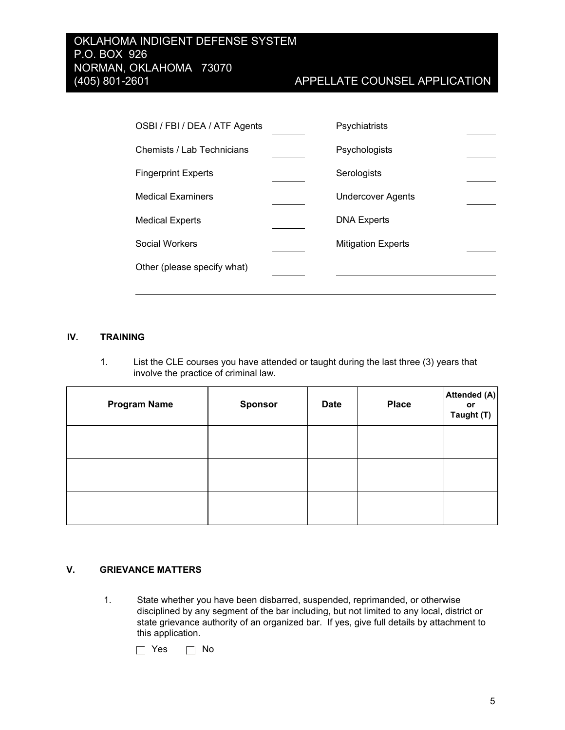| OSBI / FBI / DEA / ATF Agents | Psychiatrists             |  |
|-------------------------------|---------------------------|--|
| Chemists / Lab Technicians    | Psychologists             |  |
| <b>Fingerprint Experts</b>    | Serologists               |  |
| <b>Medical Examiners</b>      | <b>Undercover Agents</b>  |  |
| <b>Medical Experts</b>        | <b>DNA Experts</b>        |  |
| Social Workers                | <b>Mitigation Experts</b> |  |
| Other (please specify what)   |                           |  |

#### IV. **TRAINING**

 $1.$ List the CLE courses you have attended or taught during the last three (3) years that involve the practice of criminal law.

| <b>Program Name</b> | <b>Sponsor</b> | <b>Date</b> | <b>Place</b> | Attended (A)<br>or<br>Taught (T) |
|---------------------|----------------|-------------|--------------|----------------------------------|
|                     |                |             |              |                                  |
|                     |                |             |              |                                  |
|                     |                |             |              |                                  |

#### V. **GRIEVANCE MATTERS**

 $1.$ State whether you have been disbarred, suspended, reprimanded, or otherwise disciplined by any segment of the bar including, but not limited to any local, district or state grievance authority of an organized bar. If yes, give full details by attachment to this application.

 $\Box$  Yes  $\Box$  No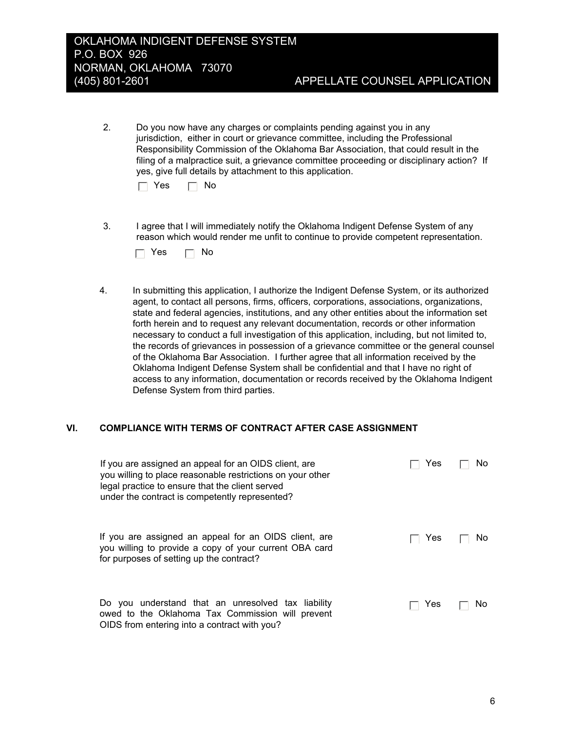$2.$ Do you now have any charges or complaints pending against you in any jurisdiction, either in court or grievance committee, including the Professional Responsibility Commission of the Oklahoma Bar Association, that could result in the filing of a malpractice suit, a grievance committee proceeding or disciplinary action? If yes, give full details by attachment to this application.

| Yes |  | No |
|-----|--|----|
|-----|--|----|

3. I agree that I will immediately notify the Oklahoma Indigent Defense System of any reason which would render me unfit to continue to provide competent representation.

| Yes. |  | No |
|------|--|----|
|------|--|----|

4. In submitting this application, I authorize the Indigent Defense System, or its authorized agent, to contact all persons, firms, officers, corporations, associations, organizations, state and federal agencies, institutions, and any other entities about the information set forth herein and to request any relevant documentation, records or other information necessary to conduct a full investigation of this application, including, but not limited to, the records of grievances in possession of a grievance committee or the general counsel of the Oklahoma Bar Association. I further agree that all information received by the Oklahoma Indigent Defense System shall be confidential and that I have no right of access to any information, documentation or records received by the Oklahoma Indigent Defense System from third parties.

#### VI. **COMPLIANCE WITH TERMS OF CONTRACT AFTER CASE ASSIGNMENT**

| If you are assigned an appeal for an OIDS client, are<br>you willing to place reasonable restrictions on your other<br>legal practice to ensure that the client served<br>under the contract is competently represented? | Yes | No. |
|--------------------------------------------------------------------------------------------------------------------------------------------------------------------------------------------------------------------------|-----|-----|
| If you are assigned an appeal for an OIDS client, are<br>you willing to provide a copy of your current OBA card<br>for purposes of setting up the contract?                                                              | Yes | No. |
| Do you understand that an unresolved tax liability<br>owed to the Oklahoma Tax Commission will prevent<br>OIDS from entering into a contract with you?                                                                   | Yes | Νo  |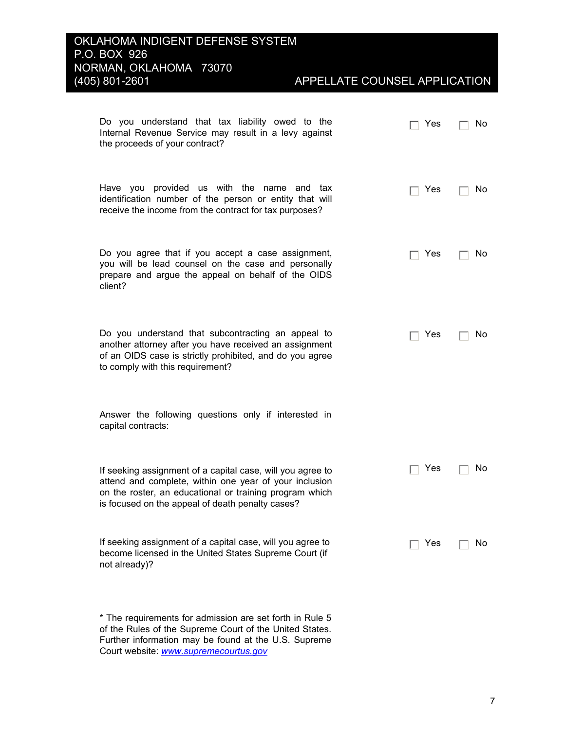# APPELLATE COUNSEL APPLICATION

| Do you understand that tax liability owed to the<br>Internal Revenue Service may result in a levy against<br>the proceeds of your contract?                                                                                         | Yes | No. |
|-------------------------------------------------------------------------------------------------------------------------------------------------------------------------------------------------------------------------------------|-----|-----|
| Have you provided us with the name and tax<br>identification number of the person or entity that will<br>receive the income from the contract for tax purposes?                                                                     | Yes | No. |
| Do you agree that if you accept a case assignment,<br>you will be lead counsel on the case and personally<br>prepare and argue the appeal on behalf of the OIDS<br>client?                                                          | Yes | No. |
| Do you understand that subcontracting an appeal to<br>another attorney after you have received an assignment<br>of an OIDS case is strictly prohibited, and do you agree<br>to comply with this requirement?                        | Yes | Νo  |
| Answer the following questions only if interested in<br>capital contracts:                                                                                                                                                          |     |     |
| If seeking assignment of a capital case, will you agree to<br>attend and complete, within one year of your inclusion<br>on the roster, an educational or training program which<br>is focused on the appeal of death penalty cases? | Yes | No  |
| If seeking assignment of a capital case, will you agree to<br>become licensed in the United States Supreme Court (if<br>not already)?                                                                                               | Yes | No  |

\* The requirements for admission are set forth in Rule 5 of the Rules of the Supreme Court of the United States. Further information may be found at the U.S. Supreme Court website: www.supremecourtus.gov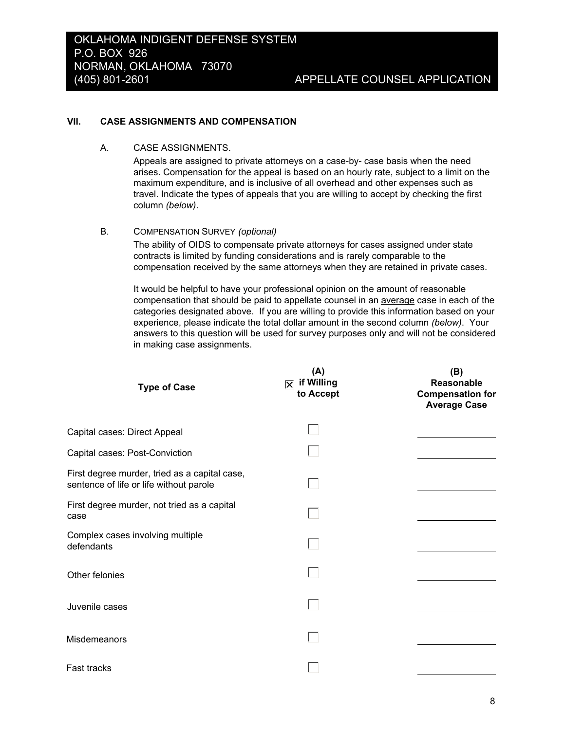#### VII. **CASE ASSIGNMENTS AND COMPENSATION**

A. **CASE ASSIGNMENTS.** 

> Appeals are assigned to private attorneys on a case-by- case basis when the need arises. Compensation for the appeal is based on an hourly rate, subject to a limit on the maximum expenditure, and is inclusive of all overhead and other expenses such as travel. Indicate the types of appeals that you are willing to accept by checking the first column (below).

 $B<sub>1</sub>$ **COMPENSATION SURVEY (optional)** 

> The ability of OIDS to compensate private attorneys for cases assigned under state contracts is limited by funding considerations and is rarely comparable to the compensation received by the same attorneys when they are retained in private cases.

It would be helpful to have your professional opinion on the amount of reasonable compensation that should be paid to appellate counsel in an average case in each of the categories designated above. If you are willing to provide this information based on your experience, please indicate the total dollar amount in the second column (below). Your answers to this question will be used for survey purposes only and will not be considered in making case assignments.

| <b>Type of Case</b>                                                                      | (A)<br>$ \overline{\times} $ if Willing<br>to Accept | (B)<br>Reasonable<br><b>Compensation for</b><br><b>Average Case</b> |
|------------------------------------------------------------------------------------------|------------------------------------------------------|---------------------------------------------------------------------|
| Capital cases: Direct Appeal                                                             |                                                      |                                                                     |
| Capital cases: Post-Conviction                                                           |                                                      |                                                                     |
| First degree murder, tried as a capital case,<br>sentence of life or life without parole |                                                      |                                                                     |
| First degree murder, not tried as a capital<br>case                                      |                                                      |                                                                     |
| Complex cases involving multiple<br>defendants                                           |                                                      |                                                                     |
| Other felonies                                                                           |                                                      |                                                                     |
| Juvenile cases                                                                           |                                                      |                                                                     |
| Misdemeanors                                                                             |                                                      |                                                                     |
| Fast tracks                                                                              |                                                      |                                                                     |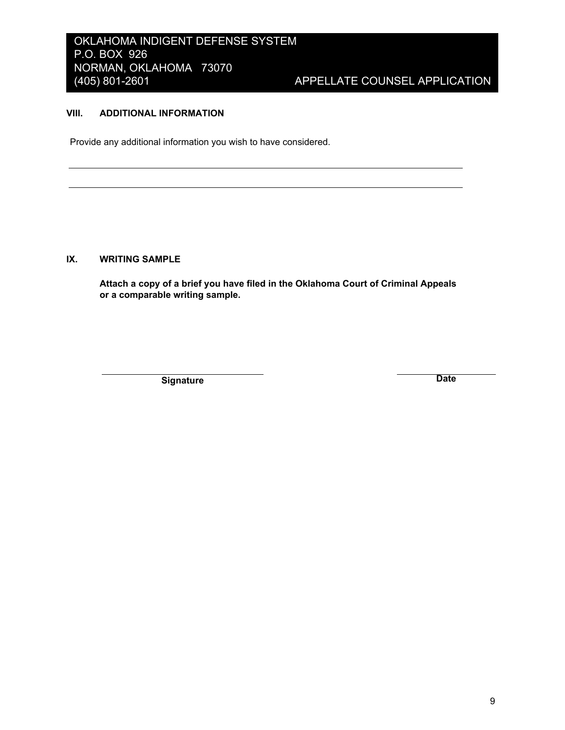# OKLAHOMA INDIGENT DEFENSE SYSTEM P.O. BOX 926 NORMAN, OKLAHOMA 73070  $(405)$  801-2601

# APPELLATE COUNSEL APPLICATION

#### VIII. **ADDITIONAL INFORMATION**

Provide any additional information you wish to have considered.

#### IX. **WRITING SAMPLE**

Attach a copy of a brief you have filed in the Oklahoma Court of Criminal Appeals or a comparable writing sample.

Signature

**Date**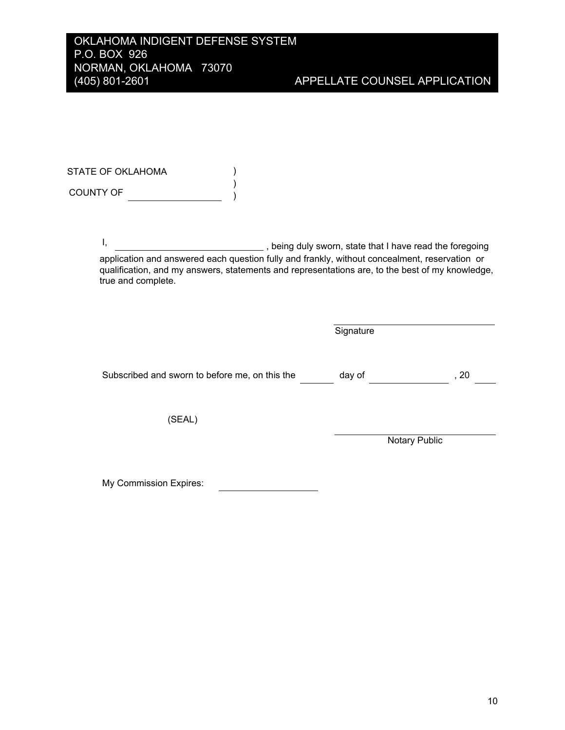STATE OF OKLAHOMA  $\mathcal{L}$  $\lambda$ COUNTY OF  $\qquad \qquad \qquad \qquad$ 

> $\mathbf{I}$ , being duly sworn, state that I have read the foregoing application and answered each question fully and frankly, without concealment, reservation or qualification, and my answers, statements and representations are, to the best of my knowledge, true and complete.

|                                                | Signature |               |  |
|------------------------------------------------|-----------|---------------|--|
| Subscribed and sworn to before me, on this the | day of    | , 20          |  |
| (SEAL)                                         |           |               |  |
|                                                |           | Notary Public |  |

My Commission Expires: